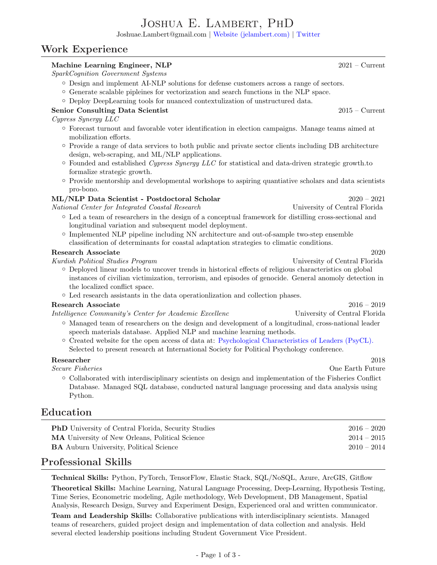# Joshua E. Lambert, PhD

Joshuae.Lambert@gmail.com | [Website \(jelambert.com\)](https://jelambert.com) | [Twitter](https://twitter.com/Jelambert_)

# Work Experience

#### Machine Learning Engineer, NLP 2021 – Current SparkCognition Government Systems ◦ Design and implement AI-NLP solutions for defense customers across a range of sectors. ◦ Generate scalable pipleines for vectorization and search functions in the NLP space. ◦ Deploy DeepLearning tools for nuanced contextulization of unstructured data. Senior Consulting Data Scientist 2015 – Current Cypress Synergy LLC ◦ Forecast turnout and favorable voter identification in election campaigns. Manage teams aimed at mobilization efforts. ◦ Provide a range of data services to both public and private sector clients including DB architecture design, web-scraping, and ML/NLP applications.  $\circ$  Founded and established Cypress Synergy LLC for statistical and data-driven strategic growth.to formalize strategic growth. ◦ Provide mentorship and developmental workshops to aspiring quantiative scholars and data scientists pro-bono. ML/NLP Data Scientist - Postdoctoral Scholar 2020 – 2021 National Center for Integrated Coastal Research University of Central Florida ◦ Led a team of researchers in the design of a conceptual framework for distilling cross-sectional and longitudinal variation and subsequent model deployment. ◦ Implemented NLP pipeline including NN architecture and out-of-sample two-step ensemble classification of determinants for coastal adaptation strategies to climatic conditions. Research Associate 2020 Kurdish Political Studies Program University of Central Florida ◦ Deployed linear models to uncover trends in historical effects of religious characteristics on global instances of civilian victimization, terrorism, and episodes of genocide. General anomoly detection in the localized conflict space. ◦ Led research assistants in the data operationlization and collection phases. Research Associate 2016 – 2019 Intelligence Community's Center for Academic Excellenc University of Central Florida ◦ Managed team of researchers on the design and development of a longitudinal, cross-national leader speech materials database. Applied NLP and machine learning methods. ◦ Created website for the open access of data at: [Psychological Characteristics of Leaders \(PsyCL\).](https://www.psycldataset.com) Selected to present research at International Society for Political Psychology conference.  $\bf{Researcher} \hspace{1.5cm} 2018$ Secure Fisheries One Earth Future ◦ Collaborated with interdisciplinary scientists on design and implementation of the Fisheries Conflict Database. Managed SQL database, conducted natural language processing and data analysis using Python. Education PhD University of Central Florida, Security Studies 2016 – 2020 MA University of New Orleans, Political Science 2014 – 2015

# Professional Skills

Technical Skills: Python, PyTorch, TensorFlow, Elastic Stack, SQL/NoSQL, Azure, ArcGIS, Gitflow

Theoretical Skills: Machine Learning, Natural Language Processing, Deep-Learning, Hypothesis Testing, Time Series, Econometric modeling, Agile methodology, Web Development, DB Management, Spatial Analysis, Research Design, Survey and Experiment Design, Experienced oral and written communicator.

BA Auburn University, Political Science 2010 – 2014

Team and Leadership Skills: Collaborative publications with interdisciplinary scientists. Managed teams of researchers, guided project design and implementation of data collection and analysis. Held several elected leadership positions including Student Government Vice President.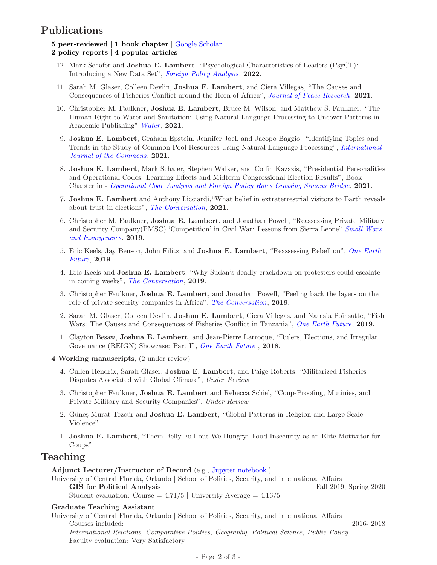# Publications

- 5 peer-reviewed | 1 book chapter | [Google Scholar](https://scholar.google.com/citations?user=3sQSen4AAAAJ&hl=en&oi=ao) 2 policy reports | 4 popular articles
	- 12. Mark Schafer and Joshua E. Lambert, "Psychological Characteristics of Leaders (PsyCL): Introducing a New Data Set", [Foreign Policy Analysis](https://doi.org/10.1093/fpa/orac008), 2022.
	- 11. Sarah M. Glaser, Colleen Devlin, Joshua E. Lambert, and Ciera Villegas, "The Causes and Consequences of Fisheries Conflict around the Horn of Africa", [Journal of Peace Research](https://doi.org/10.1177/00223433211038476), 2021.
	- 10. Christopher M. Faulkner, Joshua E. Lambert, Bruce M. Wilson, and Matthew S. Faulkner, "The Human Right to Water and Sanitation: Using Natural Language Processing to Uncover Patterns in Academic Publishing" [Water](https://www.mdpi.com/2073-4441/13/24/3501), 2021.
	- 9. Joshua E. Lambert, Graham Epstein, Jennifer Joel, and Jacopo Baggio. "Identifying Topics and Trends in the Study of Common-Pool Resources Using Natural Language Processing", [International](https://www.thecommonsjournal.org/article/10.5334/ijc.1078/) [Journal of the Commons](https://www.thecommonsjournal.org/article/10.5334/ijc.1078/), 2021.
	- 8. Joshua E. Lambert, Mark Schafer, Stephen Walker, and Collin Kazazis, "Presidential Personalities and Operational Codes: Learning Effects and Midterm Congressional Election Results", Book Chapter in - [Operational Code Analysis and Foreign Policy Roles Crossing Simons Bridge](https://www.routledge.com/Operational-Code-Analysis-and-Foreign-Policy-Roles-Crossing-Simons-Bridge/Schafer-Walker/p/book/9780367650902), 2021.
	- 7. Joshua E. Lambert and Anthony Licciardi,"What belief in extraterrestrial visitors to Earth reveals about trust in elections", [The Conversation](https://theconversation.com/what-belief-in-extraterrestrial-visitors-to-earth-reveals-about-trust-in-elections-155011?utm_source=twitter&utm_medium=bylinetwitterbutton), 2021.
	- 6. Christopher M. Faulkner, Joshua E. Lambert, and Jonathan Powell, "Reassessing Private Military and Security Company(PMSC) 'Competition' in Civil War: Lessons from Sierra Leone" [Small Wars](https://doi.org/10.1080/09592318.2019.1601869) [and Insurgencies](https://doi.org/10.1080/09592318.2019.1601869), 2019.
	- 5. Eric Keels, Jay Benson, John Filitz, and Joshua E. Lambert, "Reassessing Rebellion", [One Earth](https://oefresearch.org/publications/reassessing-rebellion) [Future](https://oefresearch.org/publications/reassessing-rebellion), 2019.
	- 4. Eric Keels and Joshua E. Lambert, "Why Sudan's deadly crackdown on protesters could escalate in coming weeks", [The Conversation](https://theconversation.com/why-sudans-deadly-crackdown-on-protesters-could-escalate-in-coming-weeks-118499?fbclid=IwAR09ls0UZ7l2YeMLlA7UkKht_cvjg5tAQKA-abZ0D2v_1f501q0akqSAoMg), 2019.
	- 3. Christopher Faulkner, Joshua E. Lambert, and Jonathan Powell, "Peeling back the layers on the role of private security companies in Africa", [The Conversation](https://theconversation.com/peeling-back-the-layers-on-the-role-of-private-security-companies-in-africa-121145?utm_source=facebook&utm_medium=facebookbutton&fbclid=IwAR04LDzWX2MsAYiqwci_S4mlr_FLSw5vuPBusPJpYOA3NuphXlAB69X03uk), 2019.
	- 2. Sarah M. Glaser, Colleen Devlin, Joshua E. Lambert, Ciera Villegas, and Natasia Poinsatte, "Fish Wars: The Causes and Consequences of Fisheries Conflict in Tanzania", [One Earth Future](https://securefisheries.org/fish-wars-tanzania), 2019.
	- 1. Clayton Besaw, Joshua E. Lambert, and Jean-Pierre Larroque, "Rulers, Elections, and Irregular Governance (REIGN) Showcase: Part I", [One Earth Future](https://oefresearch.org/news/rulers-elections-and-irregular-governance), 2018.
- 4 Working manuscripts, (2 under review)
	- 4. Cullen Hendrix, Sarah Glaser, Joshua E. Lambert, and Paige Roberts, "Militarized Fisheries Disputes Associated with Global Climate", Under Review
	- 3. Christopher Faulkner, Joshua E. Lambert and Rebecca Schiel, "Coup-Proofing, Mutinies, and Private Military and Security Companies", Under Review
	- 2. Güneş Murat Tezcür and **Joshua E. Lambert**, "Global Patterns in Religion and Large Scale Violence"
	- 1. Joshua E. Lambert, "Them Belly Full but We Hungry: Food Insecurity as an Elite Motivator for Coups"

### Teaching

Adjunct Lecturer/Instructor of Record (e.g., [Jupyter notebook.\)](https://github.com/JELambert/POS4764)

University of Central Florida, Orlando | School of Politics, Security, and International Affairs GIS for Political Analysis Fall 2019, Spring 2020 Student evaluation: Course =  $4.71/5$  | University Average =  $4.16/5$ 

#### Graduate Teaching Assistant

University of Central Florida, Orlando | School of Politics, Security, and International Affairs Courses included: 2016- 2018 International Relations, Comparative Politics, Geography, Political Science, Public Policy Faculty evaluation: Very Satisfactory